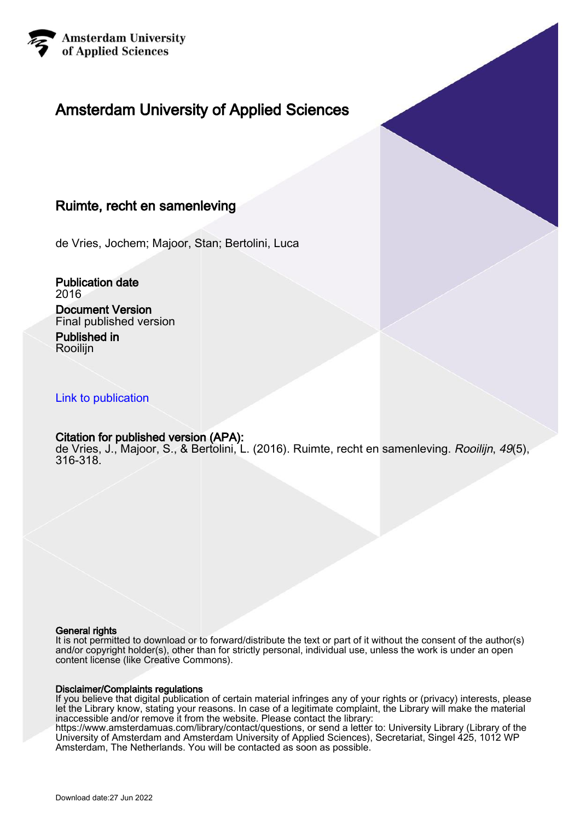

## Amsterdam University of Applied Sciences

## Ruimte, recht en samenleving

de Vries, Jochem; Majoor, Stan; Bertolini, Luca

Publication date 2016

Document Version Final published version

Published in Rooilijn

### [Link to publication](https://research.hva.nl/en/publications/b55600b2-6179-4997-9d8e-2c67f3374d66)

## Citation for published version (APA):

de Vries, J., Majoor, S., & Bertolini, L. (2016). Ruimte, recht en samenleving. Rooilijn, 49(5), 316-318.

#### General rights

It is not permitted to download or to forward/distribute the text or part of it without the consent of the author(s) and/or copyright holder(s), other than for strictly personal, individual use, unless the work is under an open content license (like Creative Commons).

#### Disclaimer/Complaints regulations

If you believe that digital publication of certain material infringes any of your rights or (privacy) interests, please let the Library know, stating your reasons. In case of a legitimate complaint, the Library will make the material inaccessible and/or remove it from the website. Please contact the library:

https://www.amsterdamuas.com/library/contact/questions, or send a letter to: University Library (Library of the University of Amsterdam and Amsterdam University of Applied Sciences), Secretariat, Singel 425, 1012 WP Amsterdam, The Netherlands. You will be contacted as soon as possible.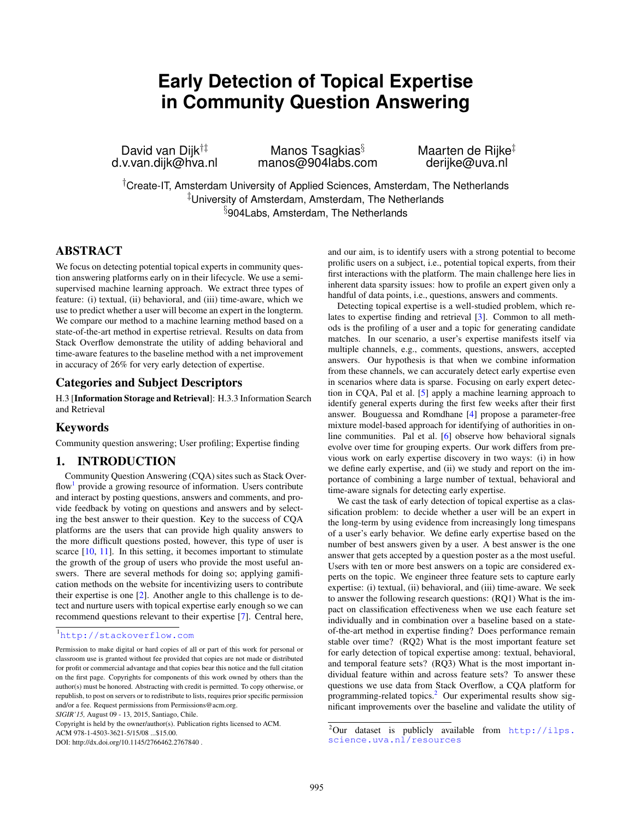# **Early Detection of Topical Expertise in Community Question Answering**

David van Dijk†‡ d.v.van.dijk@hva.nl

Manos Tsagkias $§$ manos@904labs.com Maarten de Rijke‡ derijke@uva.nl

†Create-IT, Amsterdam University of Applied Sciences, Amsterdam, The Netherlands ‡University of Amsterdam, Amsterdam, The Netherlands §904Labs, Amsterdam, The Netherlands

### ABSTRACT

We focus on detecting potential topical experts in community question answering platforms early on in their lifecycle. We use a semisupervised machine learning approach. We extract three types of feature: (i) textual, (ii) behavioral, and (iii) time-aware, which we use to predict whether a user will become an expert in the longterm. We compare our method to a machine learning method based on a state-of-the-art method in expertise retrieval. Results on data from Stack Overflow demonstrate the utility of adding behavioral and time-aware features to the baseline method with a net improvement in accuracy of 26% for very early detection of expertise.

#### Categories and Subject Descriptors

H.3 [Information Storage and Retrieval]: H.3.3 Information Search and Retrieval

#### Keywords

Community question answering; User profiling; Expertise finding

#### 1. INTRODUCTION

Community Question Answering (CQA) sites such as Stack Over-flow<sup>[1](#page-1-0)</sup> provide a growing resource of information. Users contribute and interact by posting questions, answers and comments, and provide feedback by voting on questions and answers and by selecting the best answer to their question. Key to the success of CQA platforms are the users that can provide high quality answers to the more difficult questions posted, however, this type of user is scarce [\[10,](#page-4-0) [11\]](#page-4-1). In this setting, it becomes important to stimulate the growth of the group of users who provide the most useful answers. There are several methods for doing so; applying gamification methods on the website for incentivizing users to contribute their expertise is one [\[2\]](#page-4-2). Another angle to this challenge is to detect and nurture users with topical expertise early enough so we can recommend questions relevant to their expertise [\[7\]](#page-4-3). Central here,

and our aim, is to identify users with a strong potential to become prolific users on a subject, i.e., potential topical experts, from their first interactions with the platform. The main challenge here lies in inherent data sparsity issues: how to profile an expert given only a handful of data points, i.e., questions, answers and comments.

Detecting topical expertise is a well-studied problem, which relates to expertise finding and retrieval [\[3\]](#page-4-4). Common to all methods is the profiling of a user and a topic for generating candidate matches. In our scenario, a user's expertise manifests itself via multiple channels, e.g., comments, questions, answers, accepted answers. Our hypothesis is that when we combine information from these channels, we can accurately detect early expertise even in scenarios where data is sparse. Focusing on early expert detection in CQA, Pal et al. [\[5\]](#page-4-5) apply a machine learning approach to identify general experts during the first few weeks after their first answer. Bouguessa and Romdhane [\[4\]](#page-4-6) propose a parameter-free mixture model-based approach for identifying of authorities in online communities. Pal et al. [\[6\]](#page-4-7) observe how behavioral signals evolve over time for grouping experts. Our work differs from previous work on early expertise discovery in two ways: (i) in how we define early expertise, and (ii) we study and report on the importance of combining a large number of textual, behavioral and time-aware signals for detecting early expertise.

We cast the task of early detection of topical expertise as a classification problem: to decide whether a user will be an expert in the long-term by using evidence from increasingly long timespans of a user's early behavior. We define early expertise based on the number of best answers given by a user. A best answer is the one answer that gets accepted by a question poster as a the most useful. Users with ten or more best answers on a topic are considered experts on the topic. We engineer three feature sets to capture early expertise: (i) textual, (ii) behavioral, and (iii) time-aware. We seek to answer the following research questions: (RQ1) What is the impact on classification effectiveness when we use each feature set individually and in combination over a baseline based on a stateof-the-art method in expertise finding? Does performance remain stable over time? (RQ2) What is the most important feature set for early detection of topical expertise among: textual, behavioral, and temporal feature sets? (RQ3) What is the most important individual feature within and across feature sets? To answer these questions we use data from Stack Overflow, a CQA platform for programming-related topics.[2](#page-1-1) Our experimental results show significant improvements over the baseline and validate the utility of

<span id="page-1-0"></span><sup>1</sup><http://stackoverflow.com>

Permission to make digital or hard copies of all or part of this work for personal or classroom use is granted without fee provided that copies are not made or distributed for profit or commercial advantage and that copies bear this notice and the full citation on the first page. Copyrights for components of this work owned by others than the author(s) must be honored. Abstracting with credit is permitted. To copy otherwise, or republish, to post on servers or to redistribute to lists, requires prior specific permission and/or a fee. Request permissions from Permissions@acm.org.

*SIGIR'15,* August 09 - 13, 2015, Santiago, Chile.

Copyright is held by the owner/author(s). Publication rights licensed to ACM.

ACM 978-1-4503-3621-5/15/08 ...\$15.00.

DOI: http://dx.doi.org/10.1145/2766462.2767840 .

<span id="page-1-1"></span> $^{2}$ Our dataset is publicly available from  $http://ilps.$ [science.uva.nl/resources](http://ilps.science.uva.nl/resources)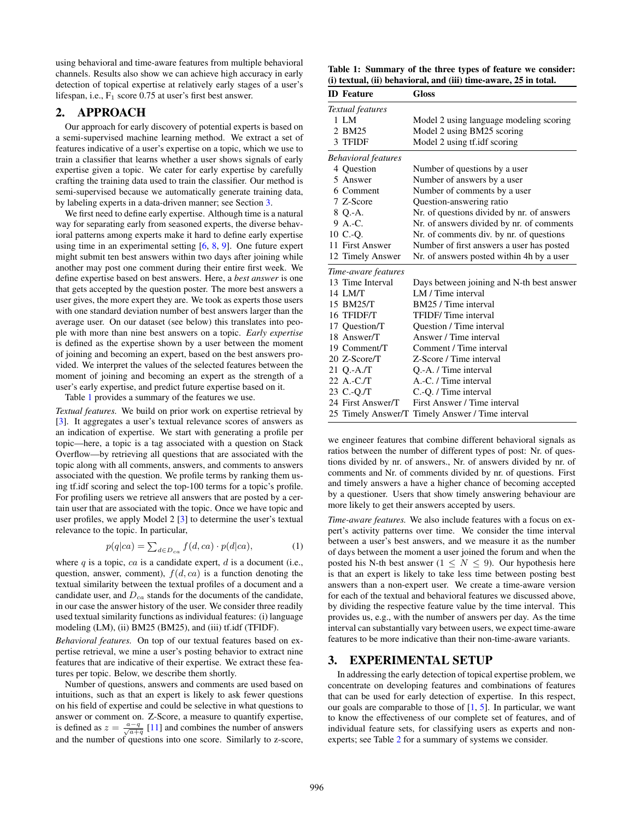using behavioral and time-aware features from multiple behavioral channels. Results also show we can achieve high accuracy in early detection of topical expertise at relatively early stages of a user's lifespan, i.e.,  $F_1$  score 0.75 at user's first best answer.

#### 2. APPROACH

Our approach for early discovery of potential experts is based on a semi-supervised machine learning method. We extract a set of features indicative of a user's expertise on a topic, which we use to train a classifier that learns whether a user shows signals of early expertise given a topic. We cater for early expertise by carefully crafting the training data used to train the classifier. Our method is semi-supervised because we automatically generate training data, by labeling experts in a data-driven manner; see Section [3.](#page-2-0)

We first need to define early expertise. Although time is a natural way for separating early from seasoned experts, the diverse behavioral patterns among experts make it hard to define early expertise using time in an experimental setting [\[6,](#page-4-7) [8,](#page-4-8) [9\]](#page-4-9). One future expert might submit ten best answers within two days after joining while another may post one comment during their entire first week. We define expertise based on best answers. Here, a *best answer* is one that gets accepted by the question poster. The more best answers a user gives, the more expert they are. We took as experts those users with one standard deviation number of best answers larger than the average user. On our dataset (see below) this translates into people with more than nine best answers on a topic. *Early expertise* is defined as the expertise shown by a user between the moment of joining and becoming an expert, based on the best answers provided. We interpret the values of the selected features between the moment of joining and becoming an expert as the strength of a user's early expertise, and predict future expertise based on it.

Table [1](#page-2-1) provides a summary of the features we use.

*Textual features.* We build on prior work on expertise retrieval by [\[3\]](#page-4-4). It aggregates a user's textual relevance scores of answers as an indication of expertise. We start with generating a profile per topic—here, a topic is a tag associated with a question on Stack Overflow—by retrieving all questions that are associated with the topic along with all comments, answers, and comments to answers associated with the question. We profile terms by ranking them using tf.idf scoring and select the top-100 terms for a topic's profile. For profiling users we retrieve all answers that are posted by a certain user that are associated with the topic. Once we have topic and user profiles, we apply Model 2 [\[3\]](#page-4-4) to determine the user's textual relevance to the topic. In particular,

$$
p(q|ca) = \sum_{d \in D_{ca}} f(d, ca) \cdot p(d|ca), \tag{1}
$$

where  $q$  is a topic,  $ca$  is a candidate expert,  $d$  is a document (i.e., question, answer, comment),  $f(d, ca)$  is a function denoting the textual similarity between the textual profiles of a document and a candidate user, and  $D_{ca}$  stands for the documents of the candidate, in our case the answer history of the user. We consider three readily used textual similarity functions as individual features: (i) language modeling (LM), (ii) BM25 (BM25), and (iii) tf.idf (TFIDF).

*Behavioral features.* On top of our textual features based on expertise retrieval, we mine a user's posting behavior to extract nine features that are indicative of their expertise. We extract these features per topic. Below, we describe them shortly.

Number of questions, answers and comments are used based on intuitions, such as that an expert is likely to ask fewer questions on his field of expertise and could be selective in what questions to answer or comment on. Z-Score, a measure to quantify expertise, is defined as  $z = \frac{a-q}{\sqrt{a+q}}$  [\[11\]](#page-4-1) and combines the number of answers and the number of questions into one score. Similarly to z-score,

<span id="page-2-1"></span>Table 1: Summary of the three types of feature we consider: (i) textual, (ii) behavioral, and (iii) time-aware, 25 in total.

| <b>ID</b> Feature          | <b>Gloss</b>                               |  |  |
|----------------------------|--------------------------------------------|--|--|
| Textual features           |                                            |  |  |
| $1$ LM                     | Model 2 using language modeling scoring    |  |  |
| 2 BM25                     | Model 2 using BM25 scoring                 |  |  |
| 3 TFIDF                    | Model 2 using tf.idf scoring               |  |  |
| <b>Behavioral features</b> |                                            |  |  |
| 4 Question                 | Number of questions by a user              |  |  |
| 5 Answer                   | Number of answers by a user                |  |  |
| 6 Comment                  | Number of comments by a user               |  |  |
| 7 Z-Score                  | Question-answering ratio                   |  |  |
| 8 Q.-A.                    | Nr. of questions divided by nr. of answers |  |  |
| 9 A.-C.                    | Nr. of answers divided by nr. of comments  |  |  |
| 10 C.-Q.                   | Nr. of comments div. by nr. of questions   |  |  |
| 11 First Answer            | Number of first answers a user has posted  |  |  |
| 12 Timely Answer           | Nr. of answers posted within 4h by a user  |  |  |
| Time-aware features        |                                            |  |  |
| 13 Time Interval           | Days between joining and N-th best answer  |  |  |
| 14 LM/T                    | LM / Time interval                         |  |  |
| 15 BM25/T                  | BM25 / Time interval                       |  |  |
| 16 TFIDF/T                 | TFIDF/Time interval                        |  |  |
| 17 Question/T              | Question / Time interval                   |  |  |
| 18 Answer/T                | Answer / Time interval                     |  |  |
| 19 Comment/T               | Comment / Time interval                    |  |  |
| 20 Z-Score/T               | Z-Score / Time interval                    |  |  |
| 21 Q.-A./T                 | Q.-A. / Time interval                      |  |  |
| 22 A.-C./T                 | A.-C. / Time interval                      |  |  |
| 23 C.-Q./T                 | C.-Q. / Time interval                      |  |  |
| 24 First Answer/T          | First Answer / Time interval               |  |  |
| 25 Timely Answer/T         | Timely Answer / Time interval              |  |  |

we engineer features that combine different behavioral signals as ratios between the number of different types of post: Nr. of questions divided by nr. of answers., Nr. of answers divided by nr. of comments and Nr. of comments divided by nr. of questions. First and timely answers a have a higher chance of becoming accepted by a questioner. Users that show timely answering behaviour are more likely to get their answers accepted by users.

*Time-aware features.* We also include features with a focus on expert's activity patterns over time. We consider the time interval between a user's best answers, and we measure it as the number of days between the moment a user joined the forum and when the posted his N-th best answer ( $1 \leq N \leq 9$ ). Our hypothesis here is that an expert is likely to take less time between posting best answers than a non-expert user. We create a time-aware version for each of the textual and behavioral features we discussed above, by dividing the respective feature value by the time interval. This provides us, e.g., with the number of answers per day. As the time interval can substantially vary between users, we expect time-aware features to be more indicative than their non-time-aware variants.

#### <span id="page-2-0"></span>3. EXPERIMENTAL SETUP

In addressing the early detection of topical expertise problem, we concentrate on developing features and combinations of features that can be used for early detection of expertise. In this respect, our goals are comparable to those of  $[1, 5]$  $[1, 5]$  $[1, 5]$ . In particular, we want to know the effectiveness of our complete set of features, and of individual feature sets, for classifying users as experts and nonexperts; see Table [2](#page-3-0) for a summary of systems we consider.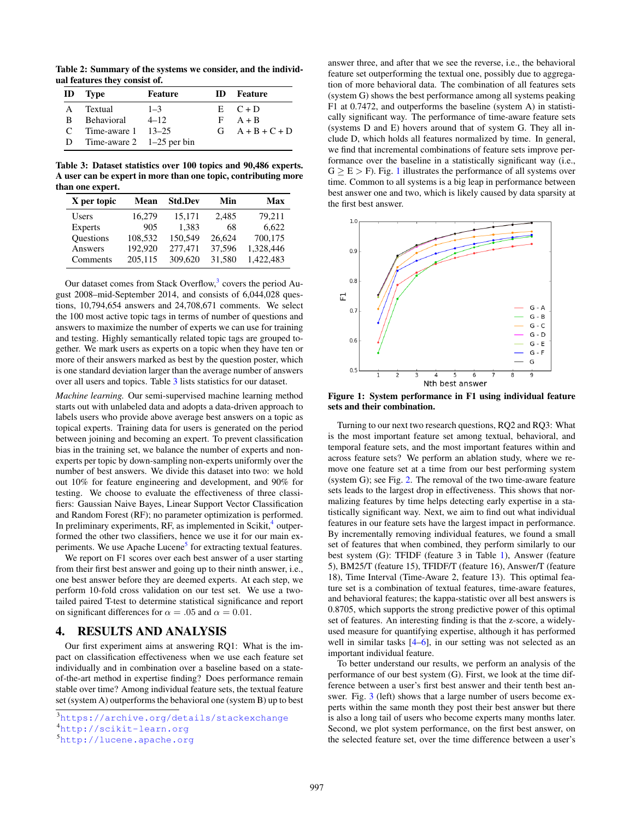<span id="page-3-0"></span>Table 2: Summary of the systems we consider, and the individual features they consist of.

|               | <b>ID</b> Type                    | Feature  | -ID- | Feature                 |
|---------------|-----------------------------------|----------|------|-------------------------|
| $\mathsf{A}$  | Textual                           | $1 - 3$  |      | $E \quad C + D$         |
| <sup>B</sup>  | Behavioral                        | $4 - 12$ |      | $F \quad A + B$         |
| $\mathcal{C}$ | Time-aware $1 \quad 13-25$        |          |      | $G \quad A + B + C + D$ |
| D             | Time-aware $2 \quad 1-25$ per bin |          |      |                         |

<span id="page-3-2"></span>Table 3: Dataset statistics over 100 topics and 90,486 experts. A user can be expert in more than one topic, contributing more than one expert.

| X per topic      | Mean    | <b>Std.Dev</b> | Min    | Max       |
|------------------|---------|----------------|--------|-----------|
| Users            | 16.279  | 15,171         | 2,485  | 79.211    |
| <b>Experts</b>   | 905     | 1,383          | 68     | 6,622     |
| <b>Ouestions</b> | 108,532 | 150,549        | 26.624 | 700,175   |
| Answers          | 192.920 | 277,471        | 37,596 | 1,328,446 |
| Comments         | 205.115 | 309.620        | 31.580 | 1.422.483 |

Our dataset comes from Stack Overflow,<sup>[3](#page-3-1)</sup> covers the period August 2008–mid-September 2014, and consists of 6,044,028 questions, 10,794,654 answers and 24,708,671 comments. We select the 100 most active topic tags in terms of number of questions and answers to maximize the number of experts we can use for training and testing. Highly semantically related topic tags are grouped together. We mark users as experts on a topic when they have ten or more of their answers marked as best by the question poster, which is one standard deviation larger than the average number of answers over all users and topics. Table [3](#page-3-2) lists statistics for our dataset.

*Machine learning.* Our semi-supervised machine learning method starts out with unlabeled data and adopts a data-driven approach to labels users who provide above average best answers on a topic as topical experts. Training data for users is generated on the period between joining and becoming an expert. To prevent classification bias in the training set, we balance the number of experts and nonexperts per topic by down-sampling non-experts uniformly over the number of best answers. We divide this dataset into two: we hold out 10% for feature engineering and development, and 90% for testing. We choose to evaluate the effectiveness of three classifiers: Gaussian Naive Bayes, Linear Support Vector Classification and Random Forest (RF); no parameter optimization is performed. In preliminary experiments, RF, as implemented in Scikit,<sup>[4](#page-3-3)</sup> outperformed the other two classifiers, hence we use it for our main ex-periments. We use Apache Lucene<sup>[5](#page-3-4)</sup> for extracting textual features.

We report on F1 scores over each best answer of a user starting from their first best answer and going up to their ninth answer, i.e., one best answer before they are deemed experts. At each step, we perform 10-fold cross validation on our test set. We use a twotailed paired T-test to determine statistical significance and report on significant differences for  $\alpha = .05$  and  $\alpha = 0.01$ .

#### 4. RESULTS AND ANALYSIS

Our first experiment aims at answering RQ1: What is the impact on classification effectiveness when we use each feature set individually and in combination over a baseline based on a stateof-the-art method in expertise finding? Does performance remain stable over time? Among individual feature sets, the textual feature set (system A) outperforms the behavioral one (system B) up to best

answer three, and after that we see the reverse, i.e., the behavioral feature set outperforming the textual one, possibly due to aggregation of more behavioral data. The combination of all features sets (system G) shows the best performance among all systems peaking F1 at 0.7472, and outperforms the baseline (system A) in statistically significant way. The performance of time-aware feature sets (systems D and E) hovers around that of system G. They all include D, which holds all features normalized by time. In general, we find that incremental combinations of feature sets improve performance over the baseline in a statistically significant way (i.e.,  $G \geq E > F$ ). Fig. [1](#page-3-5) illustrates the performance of all systems over time. Common to all systems is a big leap in performance between best answer one and two, which is likely caused by data sparsity at the first best answer.



<span id="page-3-5"></span>Figure 1: System performance in F1 using individual feature sets and their combination.

Turning to our next two research questions, RQ2 and RQ3: What is the most important feature set among textual, behavioral, and temporal feature sets, and the most important features within and across feature sets? We perform an ablation study, where we remove one feature set at a time from our best performing system (system G); see Fig. [2.](#page-4-11) The removal of the two time-aware feature sets leads to the largest drop in effectiveness. This shows that normalizing features by time helps detecting early expertise in a statistically significant way. Next, we aim to find out what individual features in our feature sets have the largest impact in performance. By incrementally removing individual features, we found a small set of features that when combined, they perform similarly to our best system (G): TFIDF (feature 3 in Table [1\)](#page-2-1), Answer (feature 5), BM25/T (feature 15), TFIDF/T (feature 16), Answer/T (feature 18), Time Interval (Time-Aware 2, feature 13). This optimal feature set is a combination of textual features, time-aware features, and behavioral features; the kappa-statistic over all best answers is 0.8705, which supports the strong predictive power of this optimal set of features. An interesting finding is that the z-score, a widelyused measure for quantifying expertise, although it has performed well in similar tasks  $[4-6]$  $[4-6]$ , in our setting was not selected as an important individual feature.

To better understand our results, we perform an analysis of the performance of our best system (G). First, we look at the time difference between a user's first best answer and their tenth best answer. Fig. [3](#page-4-12) (left) shows that a large number of users become experts within the same month they post their best answer but there is also a long tail of users who become experts many months later. Second, we plot system performance, on the first best answer, on the selected feature set, over the time difference between a user's

<span id="page-3-1"></span><sup>3</sup><https://archive.org/details/stackexchange>

<span id="page-3-3"></span><sup>4</sup><http://scikit-learn.org>

<span id="page-3-4"></span><sup>5</sup><http://lucene.apache.org>